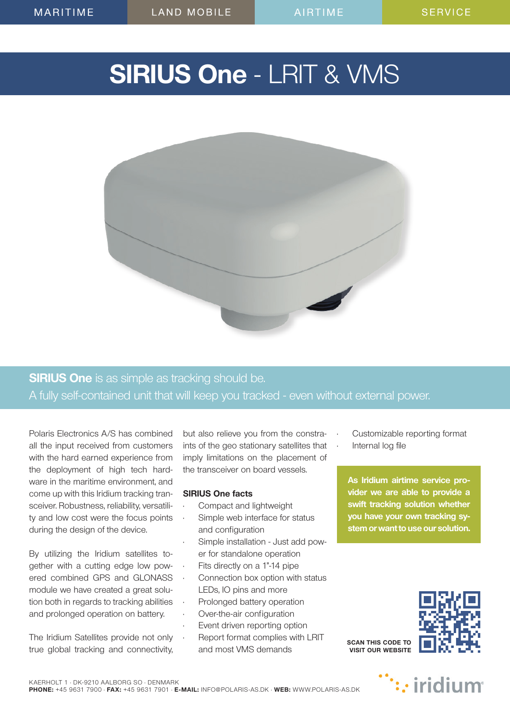# **SIRIUS One** - LRIT & VMS



# **SIRIUS One** is as simple as tracking should be. A fully self-contained unit that will keep you tracked - even without external power.

Polaris Electronics A/S has combined all the input received from customers with the hard earned experience from the deployment of high tech hardware in the maritime environment, and come up with this Iridium tracking transceiver. Robustness, reliability, versatility and low cost were the focus points during the design of the device.

By utilizing the Iridium satellites together with a cutting edge low powered combined GPS and GLONASS module we have created a great solution both in regards to tracking abilities and prolonged operation on battery.

The Iridium Satellites provide not only true global tracking and connectivity,

but also relieve you from the constraints of the geo stationary satellites that imply limitations on the placement of the transceiver on board vessels.

### **SIRIUS One facts**

- Compact and lightweight
- Simple web interface for status and configuration
- Simple installation Just add power for standalone operation
- Fits directly on a 1"-14 pipe
- Connection box option with status LEDs, IO pins and more
- Prolonged battery operation
- Over-the-air configuration
- Event driven reporting option • Report format complies with LRIT
- and most VMS demands
- Customizable reporting format
- Internal log file

**As Iridium airtime service provider we are able to provide a swift tracking solution whether you have your own tracking system or want to use our solution.**



**SCAN THIS CODE TO VISIT OUR WEBSITE**